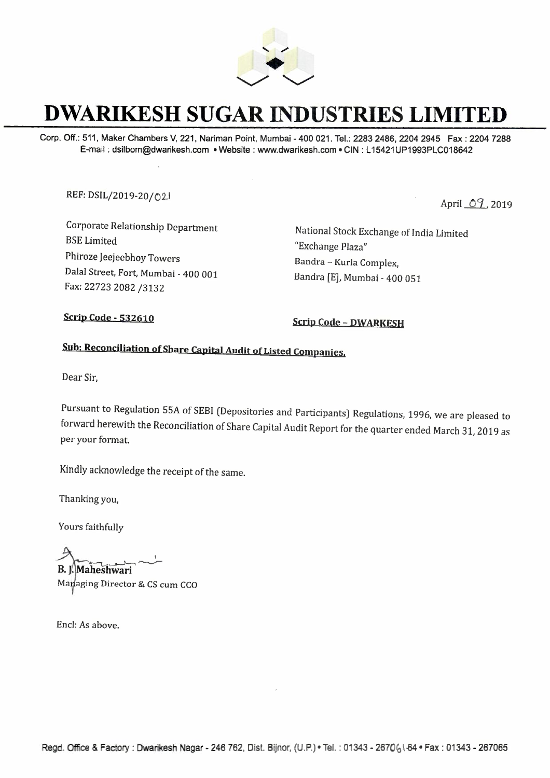

## **DWARIKESH SUGAR INDUSTRIES LIMITED**

Corp. Off.: 511, Maker Chambers V, 221, Nariman Point, Mumbai - 400 021. Tel.: 2283 2486, 2204 2945 Fax : 2204 7288 E-mail : dsilbom@dwarikesh.com • Website : www.dwarikesh.com • CIN : L 15421UP1993PLC018642

REF: DSIL/2019-20/02

April  $O_1$ , 2019

Corporate Relationship Department BSE Limited Phiroze Jeejeebhoy Towers Dalal Street, Fort, Mumbai - 400 001 Fax: 22723 2082 /3132

National Stock Exchange of India Limited "Exchange Plaza" Bandra - Kurla Complex, Bandra [E], Mumbai - 400 051

**Scrip Code - 532610 Scrip Code - DWARKESH** 

## **Sub: Reconciliation of Share Capital Audit of Listed Companies.**

Dear Sir,

Pursuant to Regulation SSA of SEBI (Depositories and Participants) Regulations, 1996, we are pleased to forward herewith the Reconciliation of Share Capital Audit Report for the quarter ended March 31, 2019 as per your format.

Kindly acknowledge the receipt of the same.

Thanking you,

Yours faithfully

I Frianking you,<br>
Yours faithfully<br> **B.** J. Maheshwari<br>
Managing Director & CS cum CCO

Encl: *As* above.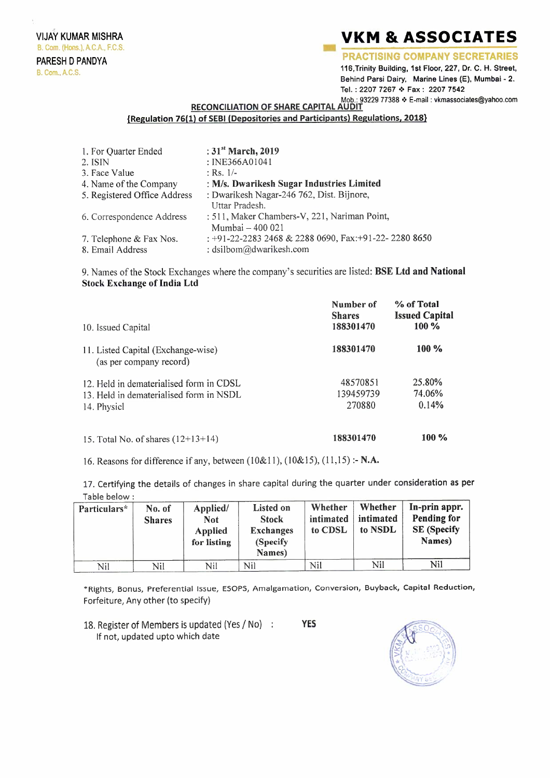. VIJAY KUMAR MISHRA B. Com. (Hons.), A.C.A., F.C.S. PARESH D PANDYA **B. Com., A.C.S.** 

## **VKM & ASSOCIATES**<br>PRACTISING COMPANY SECRETARIES

116,Trinity Building, 1st Floor, 227, Dr. C.H. Street, Behind Parsi Dairy, Marine Lines (E). Mumbai - 2. Tel.: 2207 7267 \* Fax: 2207 7542 Mob.: 93229 77388 • E-mail : vkmassociates@yahoo.com

**RECONCILIATION OF SHARE CAPITAL** 

## **{Regulation 76(1) of SEBI (Depositories and Participants) Regulations, 2018}**

| 1. For Quarter Ended         | : $31st March, 2019$                                 |
|------------------------------|------------------------------------------------------|
| 2. ISIN                      | : INE366A01041                                       |
| 3. Face Value                | : Rs. $1/-$                                          |
| 4. Name of the Company       | : M/s. Dwarikesh Sugar Industries Limited            |
| 5. Registered Office Address | : Dwarikesh Nagar-246 762, Dist. Bijnore,            |
|                              | Uttar Pradesh.                                       |
| 6. Correspondence Address    | : 511, Maker Chambers-V, 221, Nariman Point,         |
|                              | Mumbai - 400 021                                     |
| 7. Telephone & Fax Nos.      | : +91-22-2283 2468 & 2288 0690, Fax:+91-22-2280 8650 |
| 8. Email Address             | : dsilbom@dwarikesh.com                              |

9. Names of the Stock Exchanges where the company's securities are listed: **BSE Ltd and National Stock Exchange of India Ltd** 

| 10. Issued Capital                                                                                | Number of<br><b>Shares</b><br>188301470 | % of Total<br><b>Issued Capital</b><br>100 % |
|---------------------------------------------------------------------------------------------------|-----------------------------------------|----------------------------------------------|
| 11. Listed Capital (Exchange-wise)<br>(as per company record)                                     | 188301470                               | $100\%$                                      |
| 12. Held in dematerialised form in CDSL<br>13. Held in dematerialised form in NSDL<br>14. Physicl | 48570851<br>139459739<br>270880         | 25.80%<br>74.06%<br>0.14%                    |
| 15. Total No. of shares $(12+13+14)$                                                              | 188301470                               | $100\%$                                      |

16. Reasons for difference if any, between (10&1 l), (10&15), (11,15) :- **N.A.** 

17. Certifying the details of changes in share capital during the quarter under consideration **as per**  Table below :

| Particulars* | No. of<br><b>Shares</b> | Applied/<br><b>Not</b><br><b>Applied</b><br>for listing | Listed on<br><b>Stock</b><br><b>Exchanges</b><br>(Specify)<br>Names) | Whether<br>intimated<br>to CDSL | Whether<br>intimated<br>to NSDL | In-prin appr.<br><b>Pending for</b><br><b>SE</b> (Specify<br>Names) |
|--------------|-------------------------|---------------------------------------------------------|----------------------------------------------------------------------|---------------------------------|---------------------------------|---------------------------------------------------------------------|
| Nil          | Nil                     | Nil                                                     | Nil                                                                  | Nil                             | Nil                             | Nil                                                                 |

\*Rights, Bonus, Preferential Issue, ESOPS, Amalgamation, Conversion, Buyback, Capital Reduction, Forfeiture, Any other (to specify)

18. Register of Members is updated (Yes/ No) **YES**  If not, updated upto which date

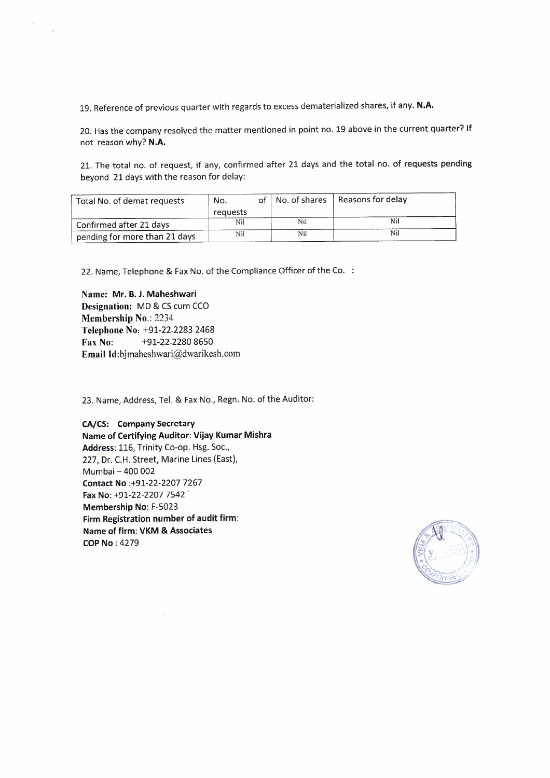19. Reference of previous quarter with regards to excess dematerialized shares, if any. **N.A.** 

20. Has the company resolved the matter mentioned in point no. 19 above in the current quarter? If not reason why? **N.A.** 

21. The total no. of request, if any, confirmed after 21 days and the total no. of requests pending beyond 21 days with the reason for delay:

| Total No. of demat requests   | No.      |  |     | of   No. of shares   Reasons for delay |
|-------------------------------|----------|--|-----|----------------------------------------|
|                               | requests |  |     |                                        |
| Confirmed after 21 days       | Nil      |  | Nil | Nil                                    |
| pending for more than 21 days | Nil      |  | Nil | Nil                                    |

22. Name, Telephone & Fax No. of the Compliance Officer of the Co.

**Name: Mr. B. J. Maheshwari Designation:** MD & CS cum CCO **Membership No.:** 2234 **Telephone No:** +91-22-2283 2468 **Fax No:** +91-22-2280 8650 **Email** ld:bjmaheshwari@dwarikesh.com

23. Name, Address, Tel. & Fax No., Regn. No. of the Auditor:

**CA/CS: Company Secretary Name of Certifying Auditor: Vijay Kumar Mishra Address:** 116, Trinity Co-op. Hsg. Soc., 227, Dr. C.H. Street, Marine Lines (East), Mumbai - 400 002 **Contact No** :+91-22-2207 7267 **Fax No:** +91-22-2207 7542 ' **Membership No:** F-5023 **Firm Registration number of audit firm: Name of firm: VKM** & **Associates COP No:** 4279